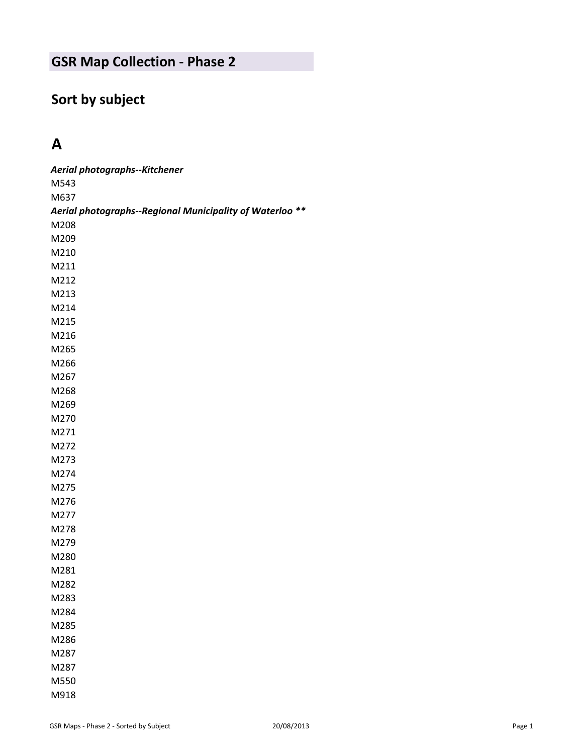# **Sort by subject**

# **A**

| Aerial photographs--Kitchener                            |
|----------------------------------------------------------|
| M543                                                     |
| M637                                                     |
| Aerial photographs--Regional Municipality of Waterloo ** |
| M208                                                     |
| M209                                                     |
| M210                                                     |
| M211                                                     |
| M212                                                     |
| M213                                                     |
| M214                                                     |
| M215                                                     |
| M216                                                     |
| M265                                                     |
| M266                                                     |
| M267                                                     |
| M268                                                     |
| M269                                                     |
| M270                                                     |
| M271                                                     |
| M272                                                     |
| M273                                                     |
| M274                                                     |
| M275                                                     |
| M276                                                     |
| M277                                                     |
| M278                                                     |
| M279                                                     |
| M280                                                     |
| M281                                                     |
| M282                                                     |
| M283                                                     |
| M284                                                     |
| M285                                                     |
| M286                                                     |
| M287                                                     |
| M287                                                     |
| M550                                                     |
| M918                                                     |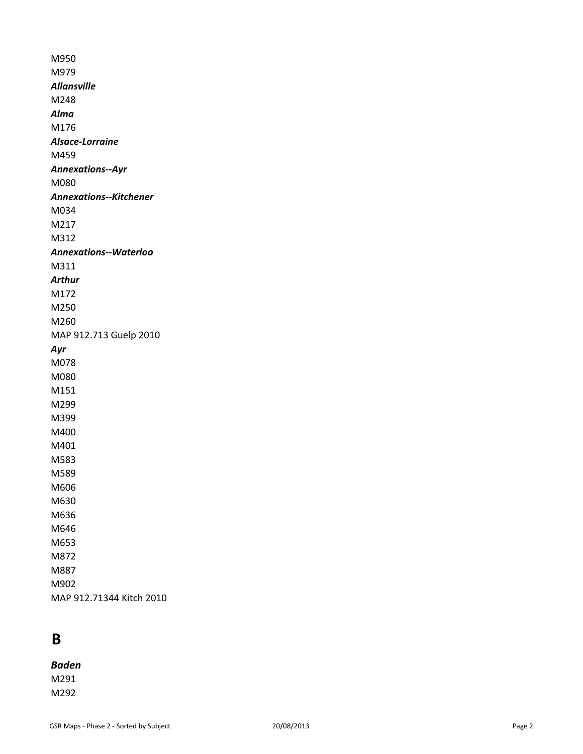M950 M979 *Allansville* M248 *Alma* M176 *Alsace-Lorraine* M459 *Annexations--Ayr* M080 *Annexations--Kitchener* M034 M217 M312 *Annexations--Waterloo* M311 *Arthur* M172 M250 M260 MAP 912.713 Guelp 2010 *Ayr* M078 M080 M151 M299 M399 M400 M401 M583 M589 M606 M630 M636 M646 M653 M872 M887 M902 MAP 912.71344 Kitch 2010

### **B**

#### *Baden*

M291 M292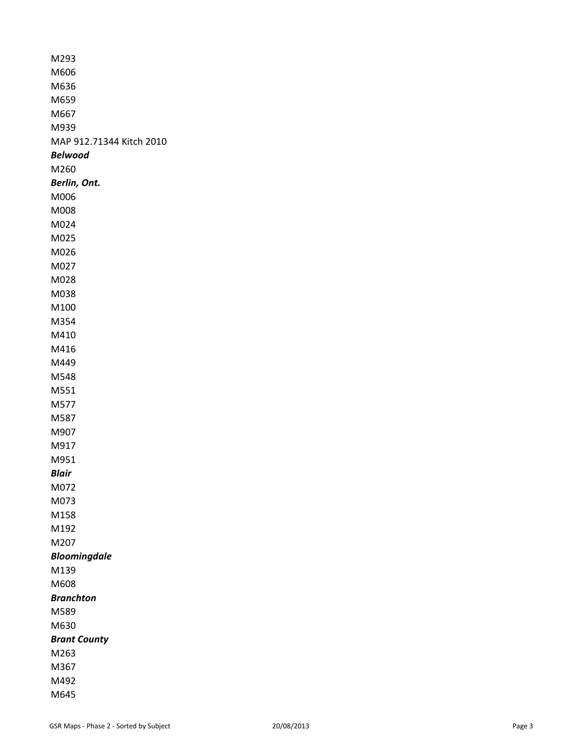| M293                     |
|--------------------------|
| M606                     |
| M636                     |
| M659                     |
| M667                     |
| M939                     |
| MAP 912.71344 Kitch 2010 |
| Belwood                  |
| M260                     |
| Berlin, Ont.             |
| M006                     |
| M008                     |
| M024                     |
| M025                     |
| M026                     |
| M027                     |
| M028                     |
| M038                     |
| M100                     |
| M354                     |
| M410                     |
| M416                     |
| M449                     |
| M548                     |
| M551                     |
| M577                     |
| M587                     |
| M907                     |
| M917                     |
| M951                     |
| Blair                    |
| M072                     |
| M073                     |
| M158                     |
| M192                     |
| M207                     |
| <b>Bloomingdale</b>      |
| M139                     |
| M608                     |
| Branchton                |
| M589                     |
| M630                     |
| <b>Brant County</b>      |
| M263                     |
| M367                     |
| M492                     |
| M645                     |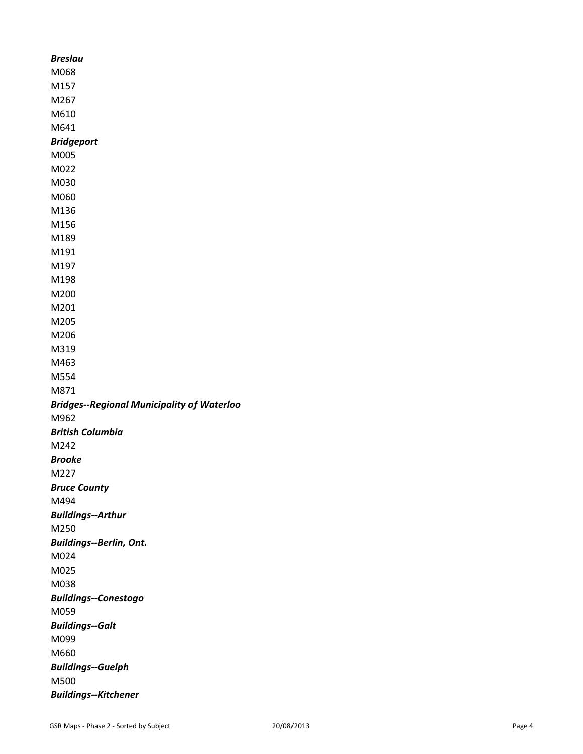| <b>Breslau</b>                                    |
|---------------------------------------------------|
| M068                                              |
| M157                                              |
| M267                                              |
| M610                                              |
| M641                                              |
| <b>Bridgeport</b>                                 |
| M005                                              |
| M022                                              |
| M030                                              |
| M060                                              |
| M136                                              |
| M156                                              |
| M189                                              |
| M191                                              |
| M197                                              |
| M198                                              |
| M200                                              |
| M201                                              |
| M205                                              |
| M206                                              |
| M319                                              |
| M463                                              |
| M554                                              |
| M871                                              |
| <b>Bridges--Regional Municipality of Waterloo</b> |
| M962                                              |
| <b>British Columbia</b>                           |
| M242                                              |
| <b>Brooke</b>                                     |
| M227                                              |
| <b>Bruce County</b>                               |
| M494                                              |
| <b>Buildings--Arthur</b>                          |
| M250                                              |
| <b>Buildings--Berlin, Ont.</b>                    |
| M024                                              |
| M025                                              |
| M038                                              |
| <b>Buildings--Conestogo</b>                       |
| M059                                              |
| <b>Buildings--Galt</b>                            |
| M099                                              |
| M660                                              |
| <b>Buildings--Guelph</b>                          |
| M500                                              |
|                                                   |
| <b>Buildings--Kitchener</b>                       |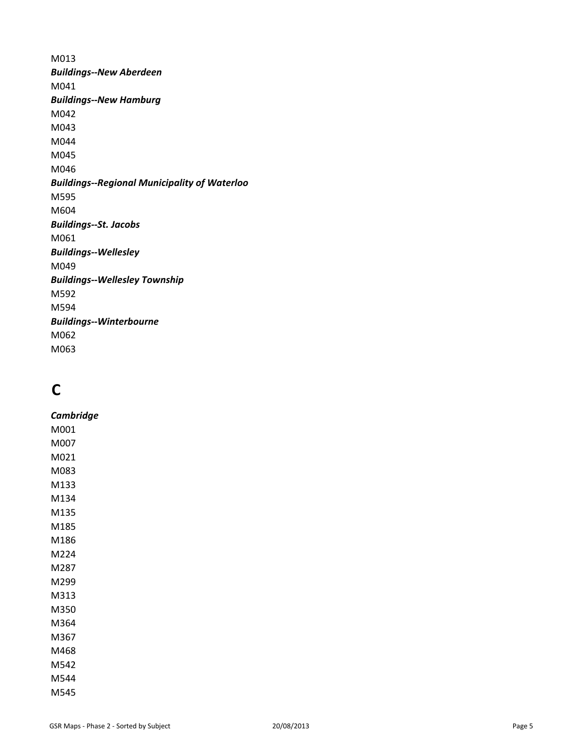M013 *Buildings--New Aberdeen* M041 *Buildings--New Hamburg* M042 M043 M044 M045 M046 *Buildings--Regional Municipality of Waterloo* M595 M604 *Buildings--St. Jacobs* M061 *Buildings--Wellesley* M049 *Buildings--Wellesley Township* M592 M594 *Buildings--Winterbourne* M062 M063

# **C**

*Cambridge* M001 M007 M021 M083 M133 M134 M135 M185 M186 M224 M287 M299 M313 M350 M364 M367 M468 M542 M544 M545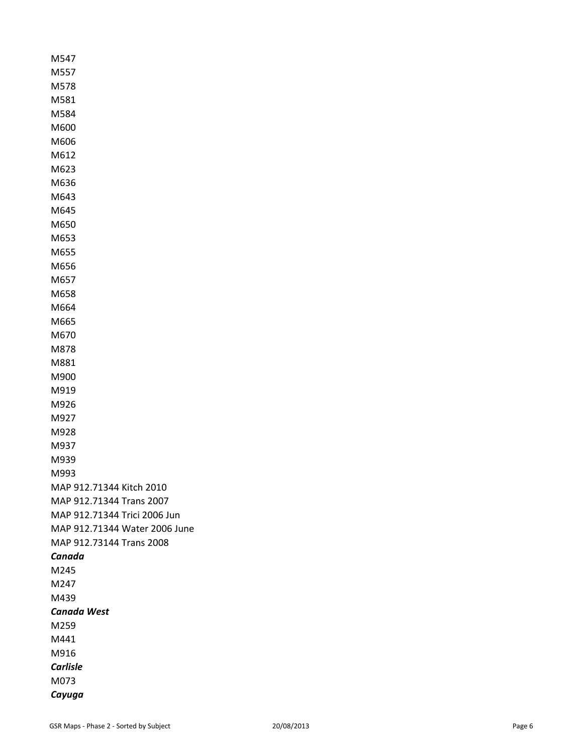M547 M557 M578 M581 M584 M600 M606 M612 M623 M636 M643 M645 M650 M653 M655 M656 M657 M658 M664 M665 M670 M878 M881 M900 M919 M926 M927 M928 M937 M939 M993 MAP 912.71344 Kitch 2010 MAP 912.71344 Trans 2007 MAP 912.71344 Trici 2006 Jun MAP 912.71344 Water 2006 June MAP 912.73144 Trans 2008 *Canada* M245 M247 M439 *Canada West* M259 M441 M916 *Carlisle* M073 *Cayuga*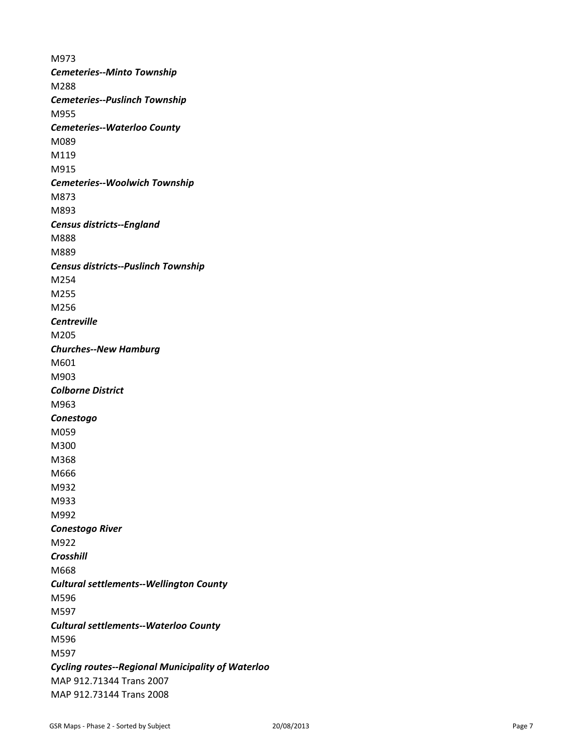M973 *Cemeteries--Minto Township* M288 *Cemeteries--Puslinch Township* M955 *Cemeteries--Waterloo County* M089 M119 M915 *Cemeteries--Woolwich Township* M873 M893 *Census districts--England* M888 M889 *Census districts--Puslinch Township* M254 M255 M256 *Centreville* M205 *Churches--New Hamburg* M601 M903 *Colborne District* M963 *Conestogo* M059 M300 M368 M666 M932 M933 M992 *Conestogo River* M922 *Crosshill* M668 *Cultural settlements--Wellington County* M596 M597 *Cultural settlements--Waterloo County* M596 M597 *Cycling routes--Regional Municipality of Waterloo* MAP 912.71344 Trans 2007 MAP 912.73144 Trans 2008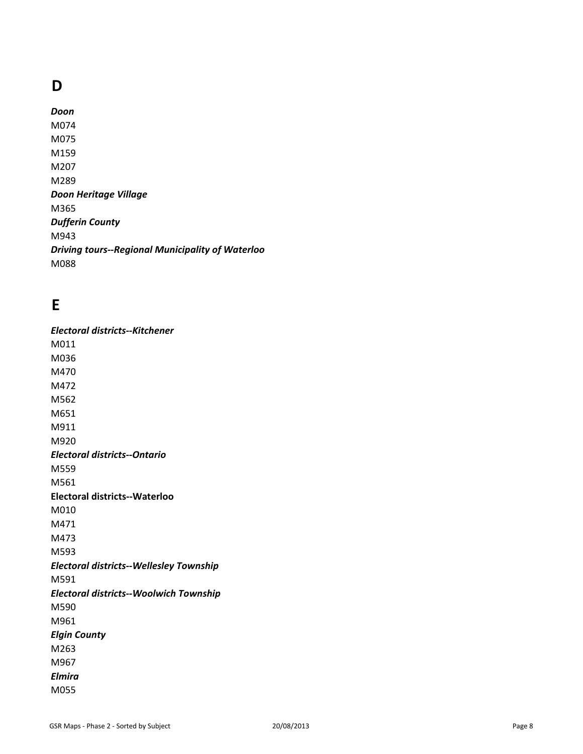# **D**

*Doon* M074 M075 M159 M207 M289 *Doon Heritage Village* M365 *Dufferin County* M943 *Driving tours--Regional Municipality of Waterloo* M088

# **E**

*Electoral districts--Kitchener* M011 M036 M470 M472 M562 M651 M911 M920 *Electoral districts--Ontario* M559 M561 **Electoral districts--Waterloo** M010 M471 M473 M593 *Electoral districts--Wellesley Township* M591 *Electoral districts--Woolwich Township* M590 M961 *Elgin County* M263 M967 *Elmira* M055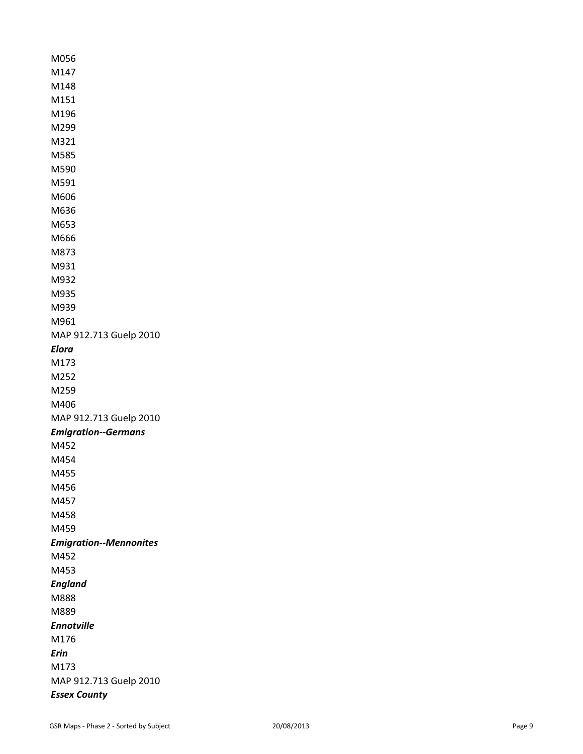M056 M147 M148 M151 M196 M299 M321 M585 M590 M591 M606 M636 M653 M666 M873 M931 M932 M935 M939 M961 MAP 912.713 Guelp 2010 *Elora*  M173 M252 M259 M406 MAP 912.713 Guelp 2010 *Emigration--Germans* M452 M454 M455 M456 M457 M458 M459 *Emigration--Mennonites* M452 M453 *England* M888 M889 *Ennotville* M176 *Erin* M173 MAP 912.713 Guelp 2010 *Essex County*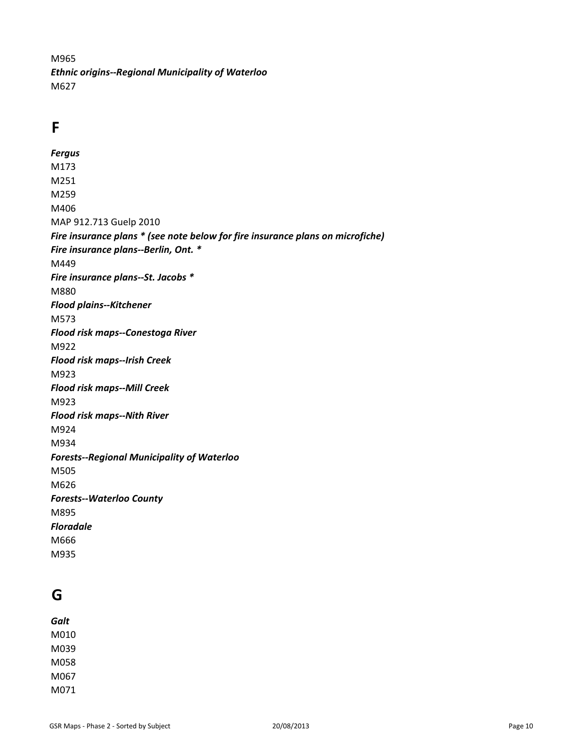M965 *Ethnic origins--Regional Municipality of Waterloo* M627

# **F**

*Fergus* M173 M251 M259 M406 MAP 912.713 Guelp 2010 *Fire insurance plans \* (see note below for fire insurance plans on microfiche) Fire insurance plans--Berlin, Ont. \** M449 *Fire insurance plans--St. Jacobs \** M880 *Flood plains--Kitchener* M573 *Flood risk maps--Conestoga River* M922 *Flood risk maps--Irish Creek* M923 *Flood risk maps--Mill Creek* M923 *Flood risk maps--Nith River* M924 M934 *Forests--Regional Municipality of Waterloo* M505 M626 *Forests--Waterloo County* M895 *Floradale* M666 M935

## **G**

*Galt* M010 M039 M058 M067 M071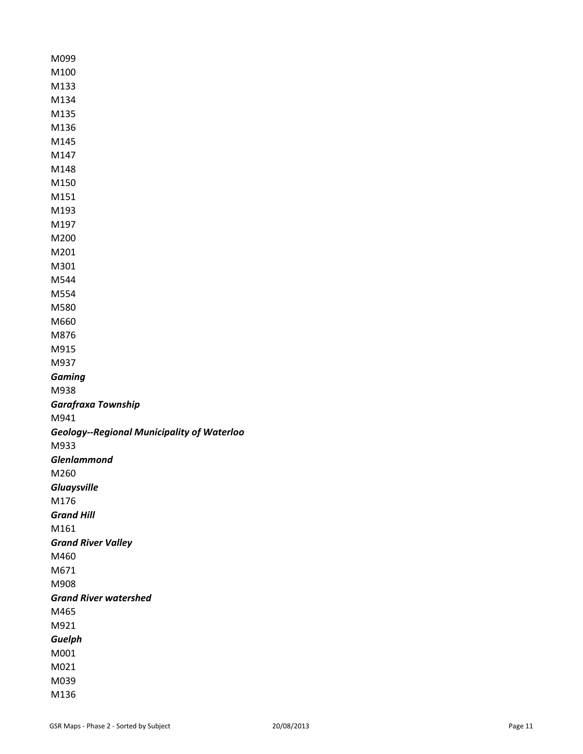| M099                                              |
|---------------------------------------------------|
| M100                                              |
| M133                                              |
| M134                                              |
| M135                                              |
| M136                                              |
| M145                                              |
| M147                                              |
| M148                                              |
| M150                                              |
| M151                                              |
| M193                                              |
| M197                                              |
| M200                                              |
| M201                                              |
| M301                                              |
| M544                                              |
| M554                                              |
| M580                                              |
| M660                                              |
| M876                                              |
| M915                                              |
| M937                                              |
| <b>Gaming</b>                                     |
| M938                                              |
|                                                   |
| <b>Garafraxa Township</b>                         |
| M941                                              |
| <b>Geology--Regional Municipality of Waterloo</b> |
| M933                                              |
| <b>Glenlammond</b>                                |
| M260                                              |
| <b>Gluaysville</b>                                |
| M176                                              |
| <b>Grand Hill</b>                                 |
| M161                                              |
| <b>Grand River Valley</b>                         |
| M460                                              |
| M671                                              |
| M908                                              |
| <b>Grand River watershed</b>                      |
| M465                                              |
| M921                                              |
| Guelph                                            |
| M001                                              |
| M021                                              |
| M039<br>M136                                      |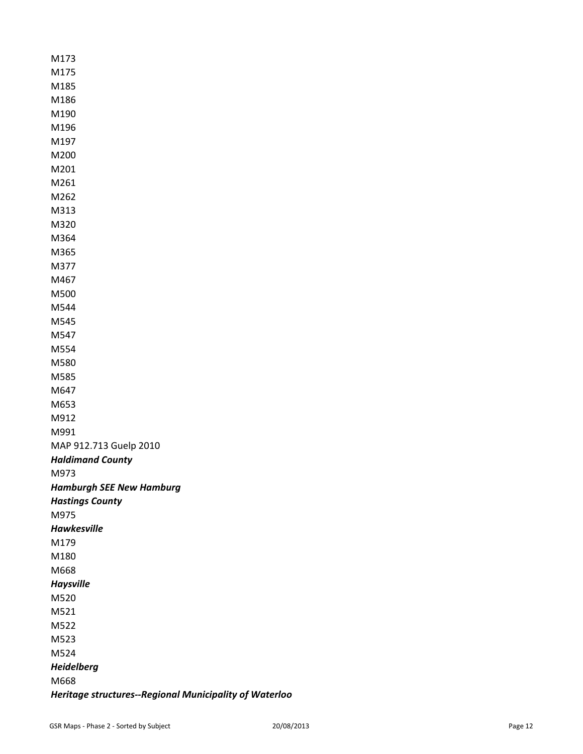M173 M175 M185 M186 M190 M196 M197 M200 M201 M261 M262 M313 M320 M364 M365 M377 M467 M500 M544 M545 M547 M554 M580 M585 M647 M653 M912 M991 MAP 912.713 Guelp 2010 *Haldimand County* M973 *Hamburgh SEE New Hamburg Hastings County* M975 *Hawkesville* M179 M180 M668 *Haysville* M520 M521 M522 M523 M524 *Heidelberg* M668 *Heritage structures--Regional Municipality of Waterloo*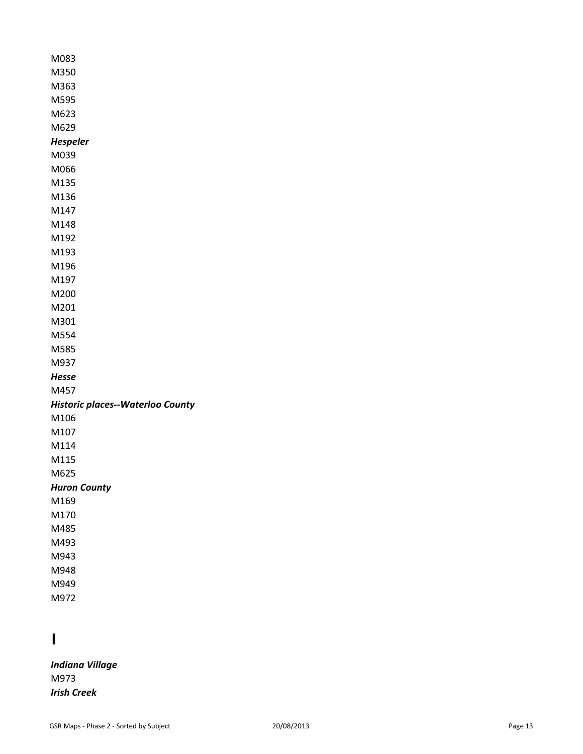| M083                                    |
|-----------------------------------------|
| M350                                    |
| M363                                    |
| M595                                    |
| M623                                    |
| M629                                    |
| <b>Hespeler</b>                         |
| M039                                    |
| M066                                    |
| M135                                    |
| M136                                    |
| M147                                    |
| M148                                    |
| M192                                    |
| M193                                    |
| M196                                    |
| M197                                    |
| M200                                    |
| M201                                    |
| M301                                    |
| M554                                    |
| M585                                    |
| M937                                    |
| Hesse                                   |
| M457                                    |
| <b>Historic places--Waterloo County</b> |
| M106                                    |
| M107                                    |
| M114                                    |
| M115                                    |
| M625                                    |
| <b>Huron County</b>                     |
| M169                                    |
| M170                                    |
| M485                                    |
| M493                                    |
| M943                                    |
| M948                                    |
| M949                                    |
| M972                                    |

# **I**

*Indiana Village* M973 *Irish Creek*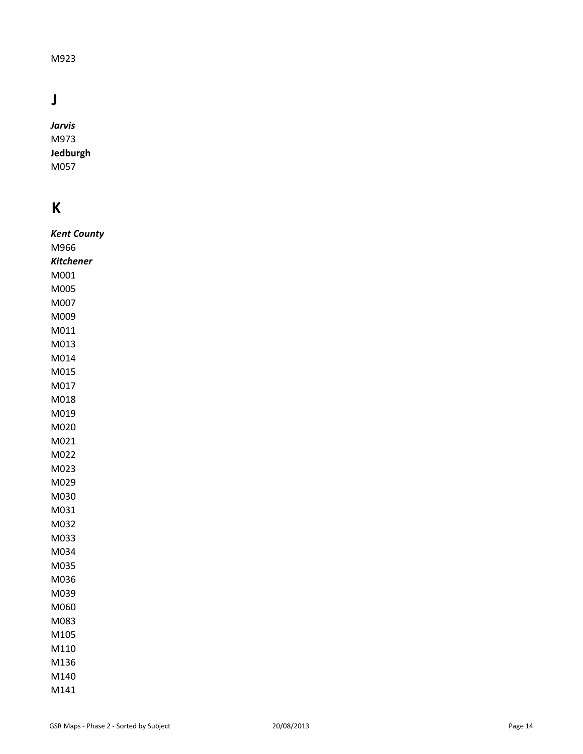#### M923

# **J**

*Jarvis*  M973 **Jedburgh**  M057

# **K**

| Kent County |
|-------------|
| M966        |
| Kitchener   |
| M001        |
| M005        |
| M007        |
| M009        |
| M011        |
| M013        |
| M014        |
| M015        |
| M017        |
| M018        |
| M019        |
| M020        |
| M021        |
| M022        |
| M023        |
| M029        |
| M030        |
| M031        |
| M032        |
| M033        |
| M034        |
| M035        |
| M036        |
| M039        |
| M060        |
| M083        |
| M105        |
| M110        |
| M136        |
| M140        |
| M141        |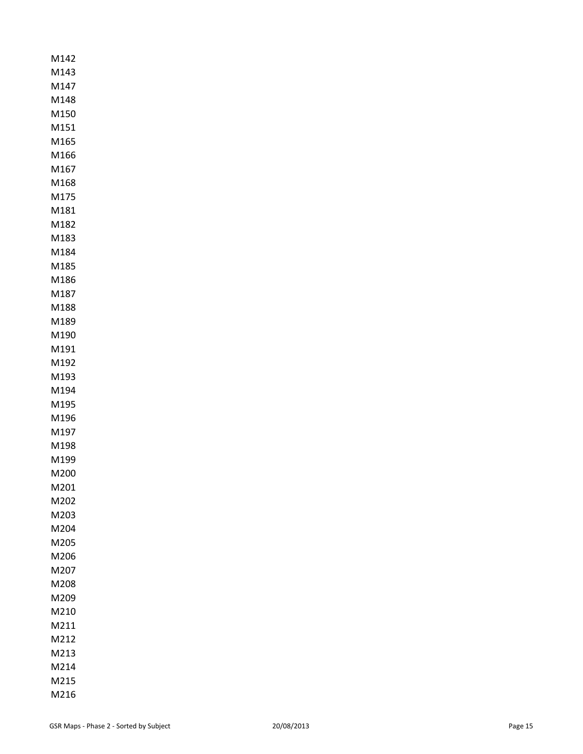| M142         |
|--------------|
| M143         |
| M147         |
| M148         |
| M150         |
| M151         |
| M165         |
| M166         |
| M167         |
| M168         |
| M175         |
| M181         |
| M182         |
| M183         |
| M184         |
| M185         |
| M186         |
| M187         |
| M188         |
| M189         |
| M190         |
| M191         |
| M192         |
| M193<br>M194 |
| M195         |
| M196         |
| M197         |
| M198         |
| M199         |
| M200         |
| M201         |
| M202         |
| M203         |
| M204         |
| M205         |
| M206         |
| M207         |
| M208         |
| M209         |
| M210         |
| M211         |
| M212         |
| M213         |
| M214         |
| M215         |
| M216         |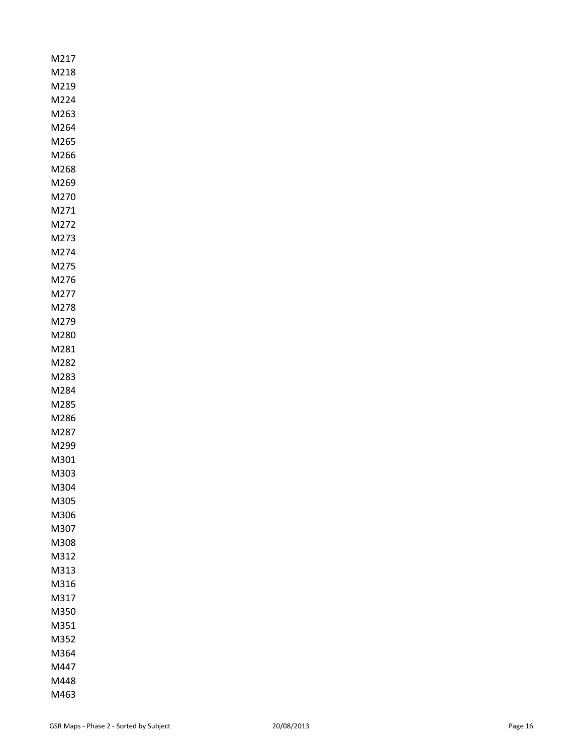| M217         |
|--------------|
| M218         |
| M219         |
| M224         |
| M263         |
| M264         |
| M265         |
| M266         |
| M268         |
| M269         |
| M270         |
| M271         |
| M272         |
| M273         |
| M274         |
| M275         |
| M276         |
| M277         |
| M278<br>M279 |
|              |
| M280<br>M281 |
| M282         |
| M283         |
| M284         |
| M285         |
| M286         |
| M287         |
| M299         |
| M301         |
| M303         |
| M304         |
| M305         |
| M306         |
| M307         |
| M308         |
| M312         |
| M313         |
| M316         |
| M317         |
| M350         |
| M351         |
| M352         |
| M364         |
| M447         |
| M448         |
|              |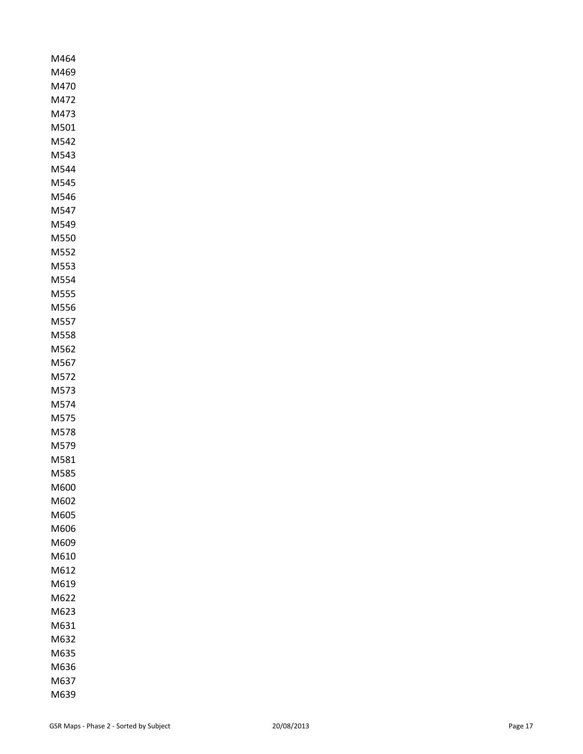| M464         |
|--------------|
| M469         |
| M470         |
| M472         |
| M473         |
| M501         |
| M542         |
| M543         |
| M544         |
| M545         |
| M546         |
| M547         |
| M549         |
| M550         |
| M552         |
| M553         |
| M554         |
| M555         |
| M556         |
| M557         |
| M558         |
| M562         |
| M567         |
| M572<br>M573 |
| M574         |
| M575         |
| M578         |
| M579         |
| M581         |
| M585         |
| M600         |
| M602         |
| M605         |
| M606         |
| M609         |
| M610         |
| M612         |
| M619         |
| M622         |
| M623         |
| M631         |
| M632         |
| M635         |
| M636         |
| M637         |
| M639         |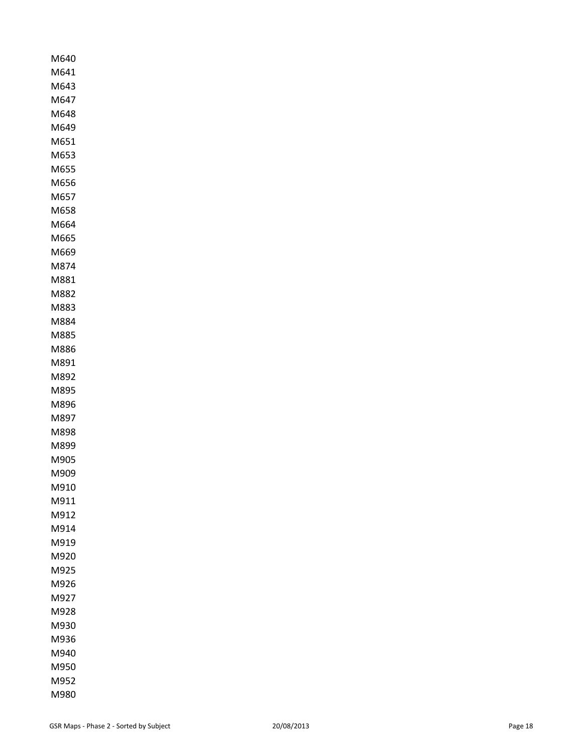| M640<br>M641 |
|--------------|
| M643         |
| M647         |
| M648         |
| M649         |
| M651         |
| M653         |
| M655         |
| M656         |
| M657         |
| M658         |
| M664         |
| M665         |
| M669         |
| M874         |
| M881         |
| M882         |
| M883         |
| M884         |
| M885         |
| M886         |
| M891         |
| M892         |
| M895         |
| M896         |
| M897         |
| M898         |
| M899         |
| M905         |
| M909         |
| M910         |
| M911         |
| M912         |
| M914         |
| M919         |
| M920         |
| M925         |
| M926         |
| M927         |
| M928         |
| M930         |
| M936         |
| M940         |
| M950         |
| M952         |
| M980         |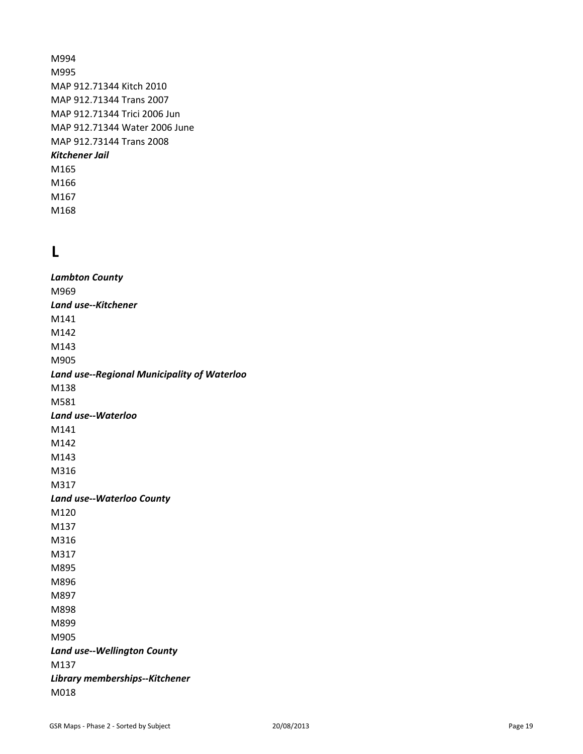M994 M995 MAP 912.71344 Kitch 2010 MAP 912.71344 Trans 2007 MAP 912.71344 Trici 2006 Jun MAP 912.71344 Water 2006 June MAP 912.73144 Trans 2008 *Kitchener Jail* M165 M166 M167 M168

# **L**

*Lambton County* M969 *Land use--Kitchener* M141 M142 M143 M905 *Land use--Regional Municipality of Waterloo* M138 M581 *Land use--Waterloo* M141 M142 M143 M316 M317 *Land use--Waterloo County* M120 M137 M316 M317 M895 M896 M897 M898 M899 M905 *Land use--Wellington County* M137 *Library memberships--Kitchener* M018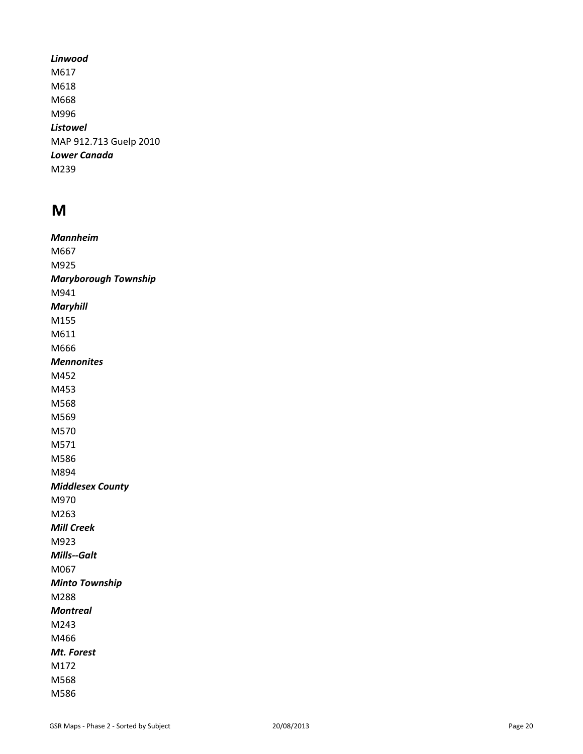*Linwood* M617 M618 M668 M996 *Listowel* MAP 912.713 Guelp 2010 *Lower Canada* M239

### **M**

*Mannheim* M667 M925 *Maryborough Township* M941 *Maryhill* M155 M611 M666 *Mennonites* M452 M453 M568 M569 M570 M571 M586 M894 *Middlesex County* M970 M263 *Mill Creek* M923 *Mills--Galt* M067 *Minto Township* M288 *Montreal* M243 M466 *Mt. Forest* M172 M568 M586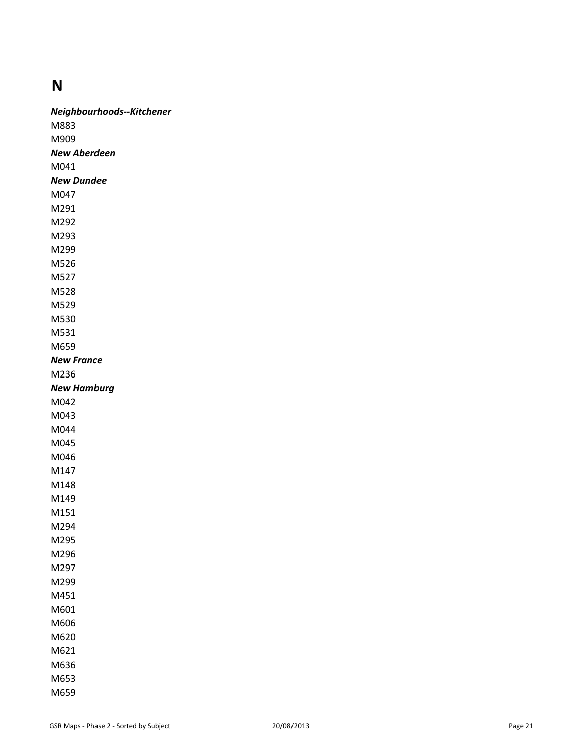#### **N**

*Neighbourhoods--Kitchener* M883 M909 *New Aberdeen* M041 *New Dundee* M047 M291 M292 M293 M299 M526 M527 M528 M529 M530 M531 M659 *New France* M236 *New Hamburg* M042 M043 M044 M045 M046 M147 M148 M149 M151 M294 M295 M296 M297 M299 M451 M601 M606 M620 M621 M636 M653 M659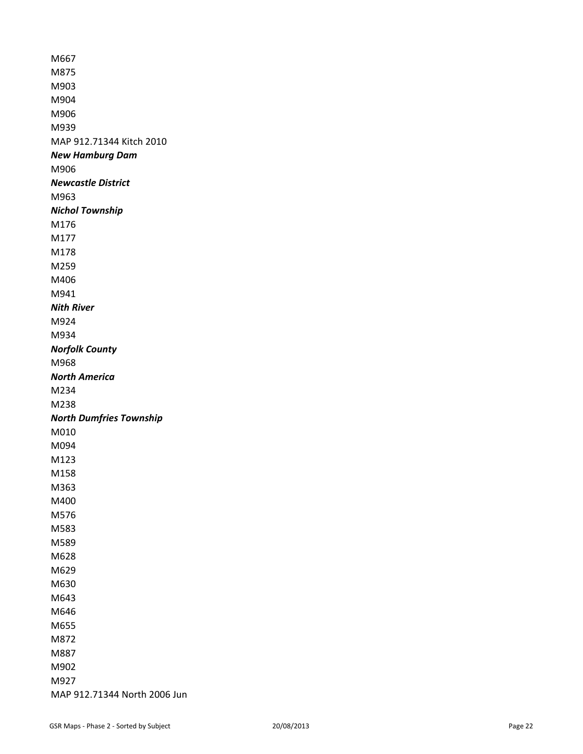M667 M875 M903 M904 M906 M939 MAP 912.71344 Kitch 2010 *New Hamburg Dam* M906 *Newcastle District* M963 *Nichol Township* M176 M177 M178 M259 M406 M941 *Nith River* M924 M934 *Norfolk County* M968 *North America* M234 M238 *North Dumfries Township* M010 M094 M123 M158 M363 M400 M576 M583 M589 M628 M629 M630 M643 M646 M655 M872 M887 M902 M927 MAP 912.71344 North 2006 Jun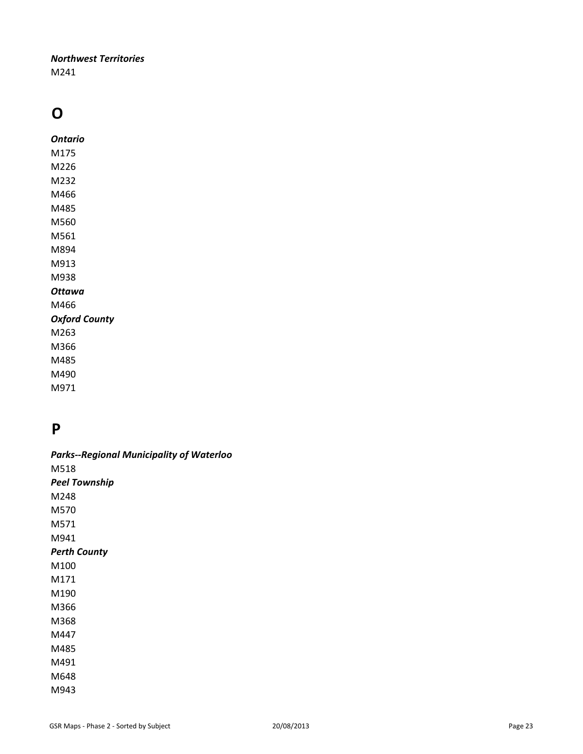#### *Northwest Territories* M241

# **O**

*Ontario* M175 M226 M232 M466 M485 M560 M561 M894 M913 M938 *Ottawa* M466 *Oxford County* M263 M366 M485

M490 M971

# **P**

| <b>Parks--Regional Municipality of Waterloo</b> |
|-------------------------------------------------|
| M518                                            |
| Peel Township                                   |
| M248                                            |
| M570                                            |
| M571                                            |
| M941                                            |
| <b>Perth County</b>                             |
| M100                                            |
| M171                                            |
| M190                                            |
| M366                                            |
| M368                                            |
| M447                                            |
| M485                                            |
| M491                                            |
| M648                                            |
| M943                                            |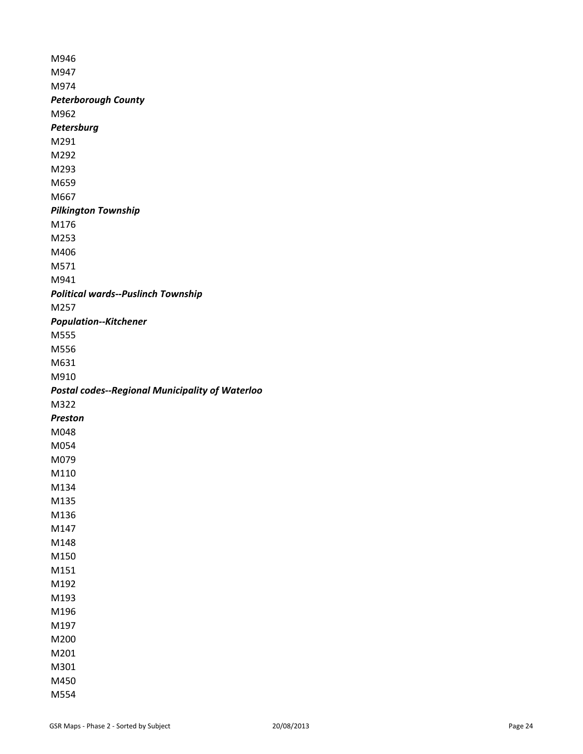M946 M947 M974 *Peterborough County* M962 *Petersburg* M291 M292 M293 M659 M667 *Pilkington Township* M176 M253 M406 M571 M941 *Political wards--Puslinch Township* M257 *Population--Kitchener* M555 M556 M631 M910 *Postal codes--Regional Municipality of Waterloo* M322 *Preston* M048 M054 M079 M110 M134 M135 M136 M147 M148 M150 M151 M192 M193 M196 M197 M200 M201 M301 M450 M554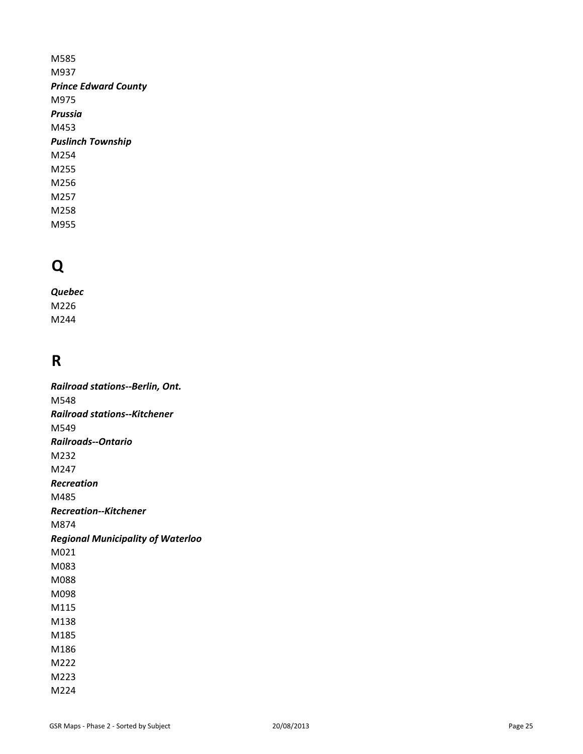M585 M937 *Prince Edward County* M975 *Prussia* M453 *Puslinch Township* M254 M255 M256 M257 M258 M955

# **Q**

*Quebec* M226 M244

# **R**

*Railroad stations--Berlin, Ont.*  M548 *Railroad stations--Kitchener* M549 *Railroads--Ontario* M232 M247 *Recreation* M485 *Recreation--Kitchener* M874 *Regional Municipality of Waterloo* M021 M083 M088 M098 M115 M138 M185 M186 M222 M223 M224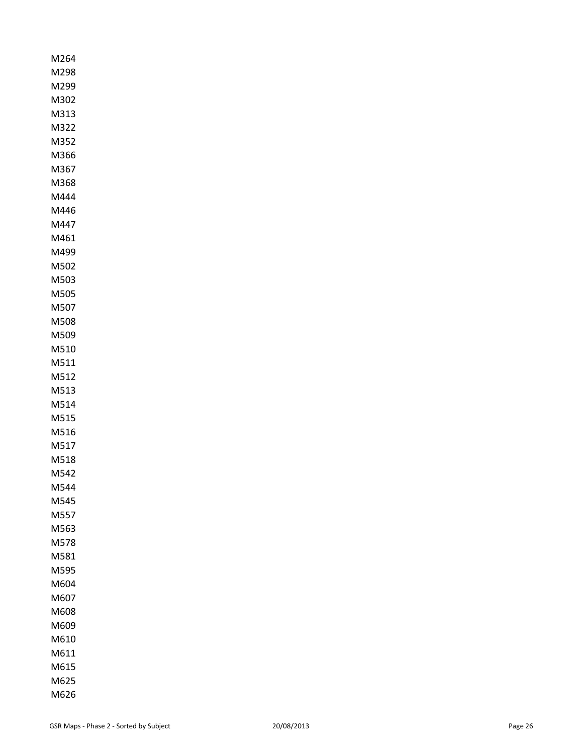| M264         |
|--------------|
| M298         |
| M299         |
| M302         |
| M313         |
| M322<br>M352 |
| M366         |
| M367         |
| M368         |
| M444         |
| M446         |
| M447         |
| M461         |
| M499         |
| M502         |
| M503         |
| M505         |
| M507         |
| M508         |
| M509         |
| M510         |
| M511         |
| M512         |
| M513         |
| M514         |
| M515         |
| M516<br>M517 |
| M518         |
| M542         |
| M544         |
| M545         |
| M557         |
| M563         |
| M578         |
| M581         |
| M595         |
| M604         |
| M607         |
| M608         |
| M609         |
| M610         |
| M611         |
| M615         |
| M625         |
| M626         |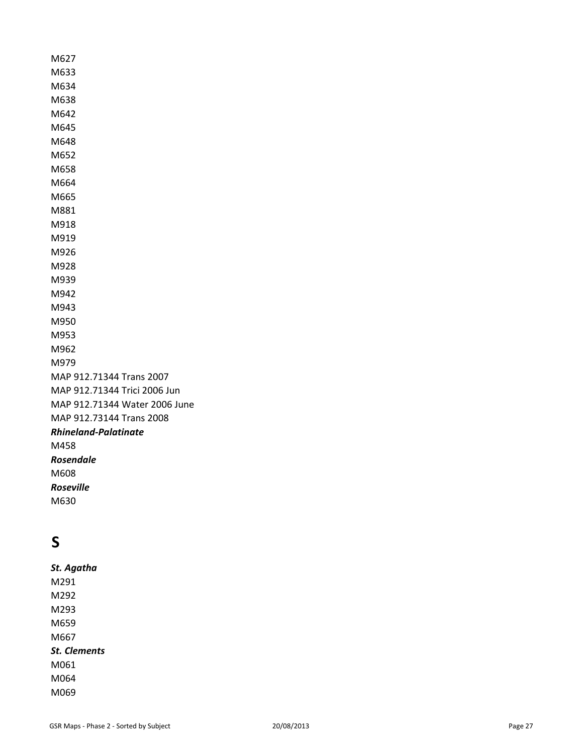M627 M633 M634 M638 M642 M645 M648 M652 M658 M664 M665 M881 M918 M919 M926 M928 M939 M942 M943 M950 M953 M962 M979 MAP 912.71344 Trans 2007 MAP 912.71344 Trici 2006 Jun MAP 912.71344 Water 2006 June MAP 912.73144 Trans 2008 *Rhineland-Palatinate* M458 *Rosendale* M608 *Roseville* 

M630

# **S**

*St. Agatha* M291 M292 M293 M659 M667 *St. Clements* M061 M064 M069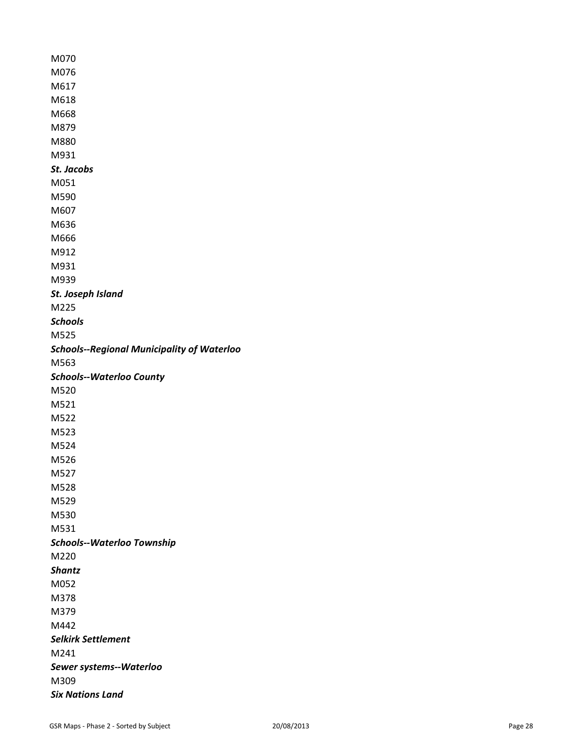| M070                                              |
|---------------------------------------------------|
| M076                                              |
| M617                                              |
| M618                                              |
| M668                                              |
| M879                                              |
| M880                                              |
| M931                                              |
| St. Jacobs                                        |
| M051                                              |
| M590                                              |
| M607                                              |
| M636                                              |
| M666                                              |
| M912                                              |
| M931                                              |
| M939                                              |
| St. Joseph Island                                 |
| M225                                              |
| <b>Schools</b>                                    |
| M525                                              |
| <b>Schools--Regional Municipality of Waterloo</b> |
| M563                                              |
| <b>Schools--Waterloo County</b>                   |
| M520                                              |
| M521                                              |
| M522                                              |
| M523                                              |
| M524                                              |
| M526                                              |
| M527                                              |
| M528                                              |
| M529                                              |
| M530                                              |
| M531                                              |
| <b>Schools--Waterloo Township</b>                 |
| M220                                              |
| <b>Shantz</b>                                     |
| M052                                              |
| M378                                              |
| M379                                              |
| M442                                              |
| <b>Selkirk Settlement</b>                         |
| M241                                              |
| Sewer systems--Waterloo                           |
| M309                                              |
| <b>Six Nations Land</b>                           |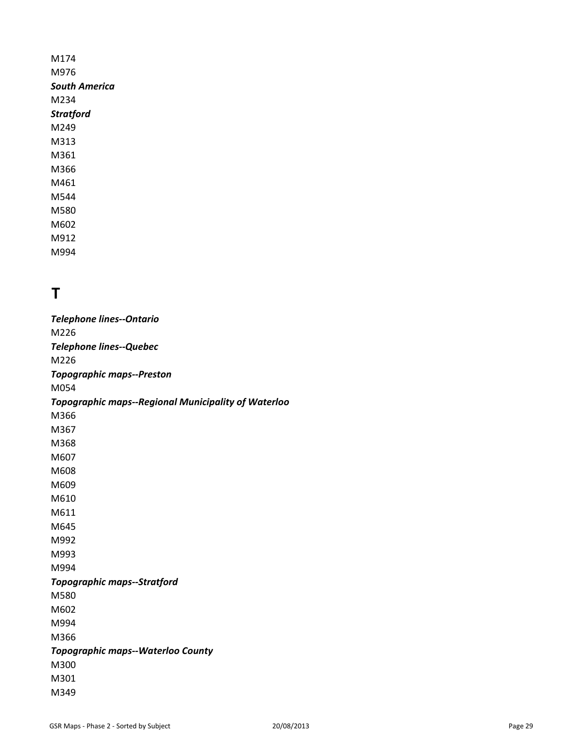M174 M976 *South America* M234 *Stratford* M249 M313 M361 M366 M461 M544 M580 M602 M912 M994

# **T**

*Telephone lines--Ontario* M226 *Telephone lines--Quebec* M226 *Topographic maps--Preston* M054 *Topographic maps--Regional Municipality of Waterloo* M366 M367 M368 M607 M608 M609 M610 M611 M645 M992 M993 M994 *Topographic maps--Stratford* M580 M602 M994 M366 *Topographic maps--Waterloo County* M300 M301 M349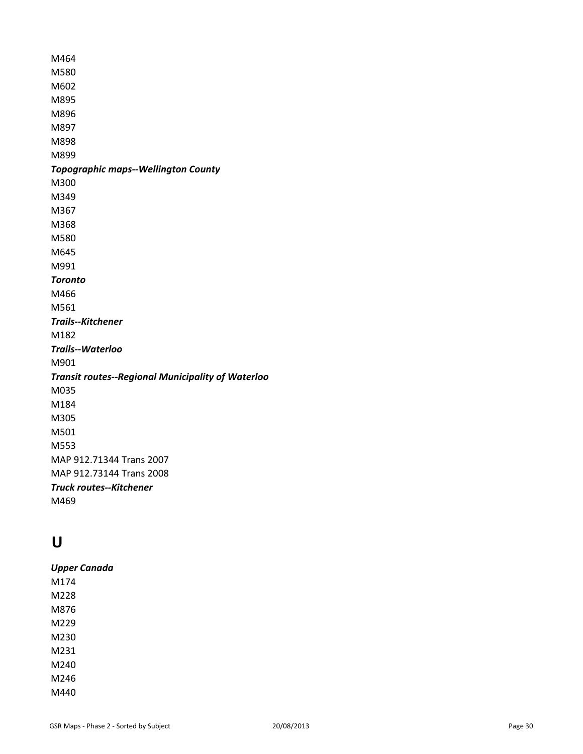M464 M580 M602 M895 M896 M897 M898 M899 *Topographic maps--Wellington County* M300 M349 M367 M368 M580 M645 M991 *Toronto* M466 M561 *Trails--Kitchener* M182 *Trails--Waterloo* M901 *Transit routes--Regional Municipality of Waterloo* M035 M184 M305 M501 M553 MAP 912.71344 Trans 2007 MAP 912.73144 Trans 2008 *Truck routes--Kitchener* M469

# **U**

| <b>Upper Canada</b> |
|---------------------|
| M174                |
| M228                |
| M876                |
| M229                |
| M230                |
| M231                |
| M240                |
| M246                |
| M440                |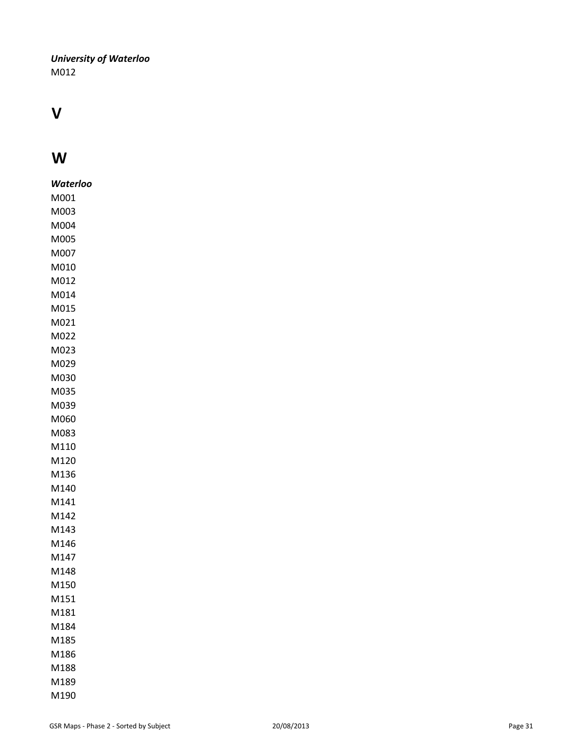#### *University of Waterloo* M012

# **VW**

| Waterloo |
|----------|
| M001     |
| M003     |
| M004     |
| M005     |
| M007     |
| M010     |
| M012     |
| M014     |
| M015     |
| M021     |
| M022     |
| M023     |
| M029     |
| M030     |
| M035     |
| M039     |
| M060     |
| M083     |
| M110     |
| M120     |
| M136     |
| M140     |
| M141     |
| M142     |
| M143     |
| M146     |
| M147     |
| M148     |
| M150     |
| M151     |
| M181     |
| M184     |
| M185     |
| M186     |
| M188     |
| M189     |
| M190     |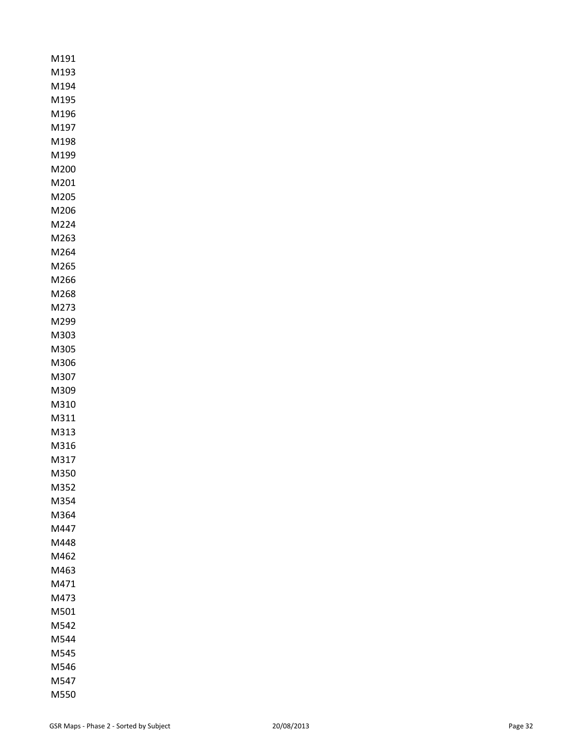| M191         |
|--------------|
| M193         |
| M194         |
| M195         |
| M196         |
| M197         |
| M198         |
| M199         |
| M200         |
| M201         |
| M205         |
| M206         |
| M224         |
| M263         |
| M264         |
| M265         |
| M266         |
| M268         |
| M273         |
| M299         |
| M303         |
| M305         |
| M306         |
| M307         |
| M309         |
| M310         |
| M311         |
| M313         |
| M316         |
| M317         |
| M350<br>ו    |
| M352         |
| M354         |
| M364         |
| M447         |
| M448         |
| M462         |
| M463         |
| M471         |
| M473         |
| M501<br>M542 |
| M544         |
| M545         |
| M546         |
| M547         |
| M550         |
|              |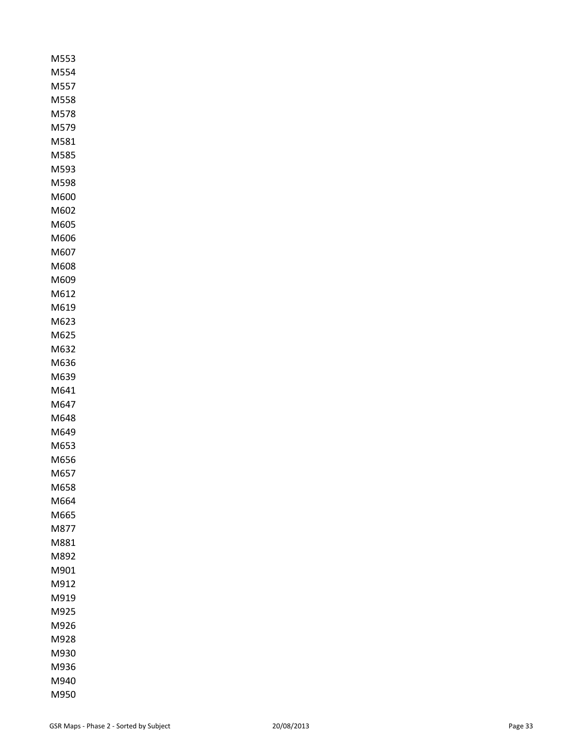| M553         |
|--------------|
| M554         |
| M557         |
| M558         |
| M578         |
| M579         |
| M581         |
| M585         |
| M593         |
| M598         |
| M600         |
| M602         |
| M605         |
| M606         |
| M607         |
| M608         |
| M609         |
| M612         |
| M619         |
| M623         |
| M625         |
| M632         |
| M636         |
| M639         |
| M641         |
| M647         |
| M648         |
| M649         |
| M653         |
| M656         |
| M657         |
| M658         |
| M664         |
| M665         |
| M877         |
| M881         |
| M892<br>M901 |
| M912         |
| M919         |
| M925         |
| M926         |
| M928         |
| M930         |
| M936         |
| M940         |
| M950         |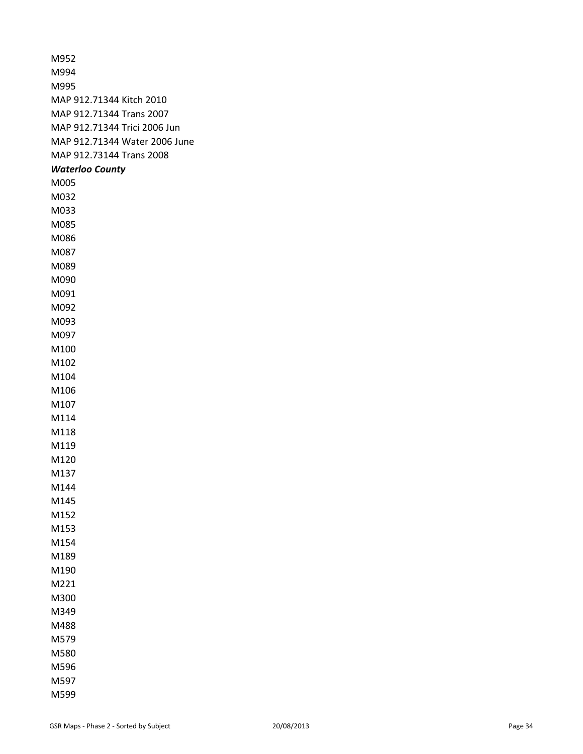| M952                          |
|-------------------------------|
| M994                          |
| M995                          |
| MAP 912.71344 Kitch 2010      |
| MAP 912.71344 Trans 2007      |
| MAP 912.71344 Trici 2006 Jun  |
| MAP 912.71344 Water 2006 June |
| MAP 912.73144 Trans 2008      |
| <b>Waterloo County</b>        |
| M005                          |
| M032                          |
| M033                          |
| M085                          |
| M086                          |
| M087                          |
| M089                          |
| M090                          |
| M091                          |
| M092                          |
| M093                          |
| M097                          |
| M100                          |
| M102                          |
| M104                          |
| M106                          |
| M107                          |
| M114                          |
| M118                          |
| M119                          |
| M120                          |
| M137                          |
| M144                          |
| M145                          |
| M152                          |
| M153                          |
| M154                          |
| M189                          |
| M190                          |
| M221                          |
| M300                          |
| M349                          |
| M488                          |
| M579                          |
| M580                          |
| M596                          |
| M597                          |
| M599                          |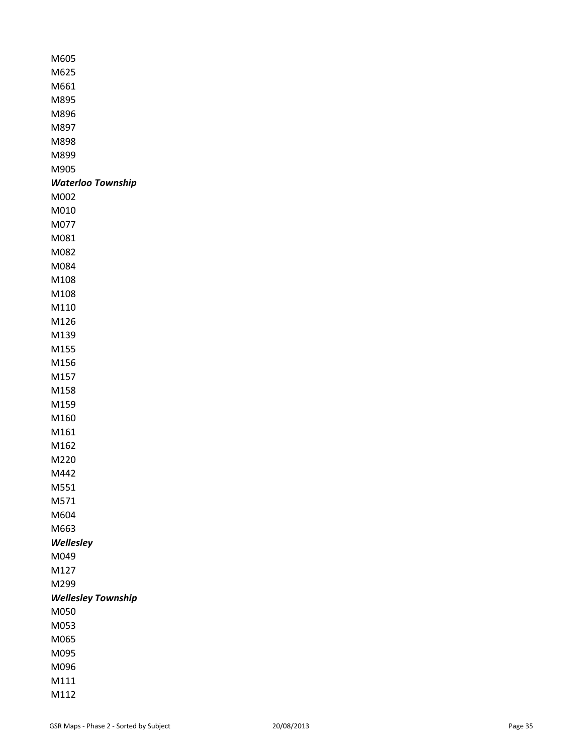| M605                     |
|--------------------------|
| M625                     |
| M661                     |
| M895                     |
| M896                     |
| M897                     |
| M898                     |
| M899                     |
| M905                     |
| <b>Waterloo Township</b> |
| M002                     |
| M010                     |
| M077                     |
| M081                     |
| M082                     |
| M084                     |
| M108                     |
| M108                     |
| M110                     |
| M126                     |
| M139                     |
| M155                     |
| M156                     |
| M157                     |
| M158                     |
| M159                     |
| M160                     |
| M161                     |
| M162                     |
| M220                     |
| M442                     |
| M551                     |
| M571                     |
| M604                     |
| M663                     |
| Wellesley                |
| M049                     |
| M127                     |
| M299                     |
| Wellesley Township       |
| M050                     |
| M053                     |
| M065                     |
| M095                     |
| M096                     |
| M111                     |
| M112                     |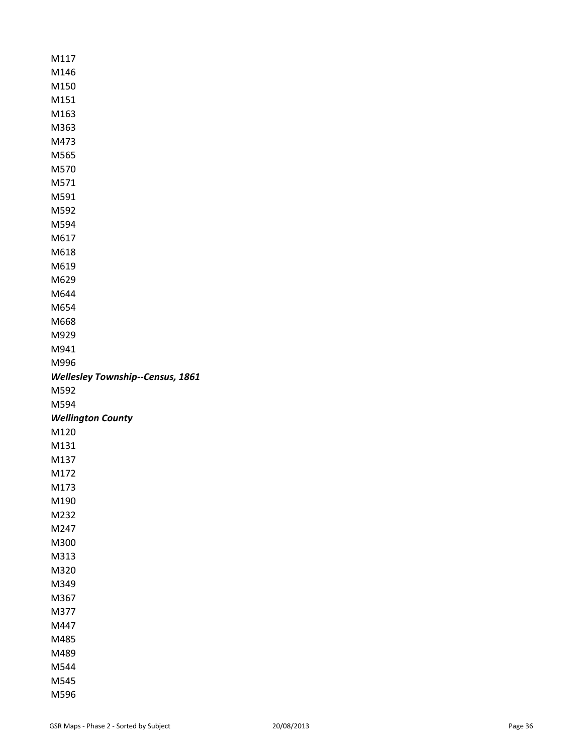| M117                                    |
|-----------------------------------------|
| M146                                    |
| M150                                    |
| M151                                    |
| M163                                    |
| M363                                    |
| M473                                    |
| M565                                    |
| M570                                    |
| M571                                    |
| M591                                    |
| M592                                    |
| M594                                    |
| M617                                    |
| M618                                    |
| M619                                    |
| M629                                    |
| M644                                    |
| M654                                    |
| M668                                    |
| M929                                    |
| M941                                    |
| M996                                    |
| <b>Wellesley Township--Census, 1861</b> |
|                                         |
| M592                                    |
| M594                                    |
| <b>Wellington County</b>                |
| M120                                    |
| M131                                    |
| M137                                    |
| M172                                    |
| M173                                    |
| M190                                    |
| M232                                    |
| M247                                    |
| M300                                    |
| M313                                    |
| M320                                    |
| M349                                    |
| M367                                    |
| M377                                    |
| M447                                    |
| M485                                    |
| M489                                    |
| M544                                    |
| M545<br>M596                            |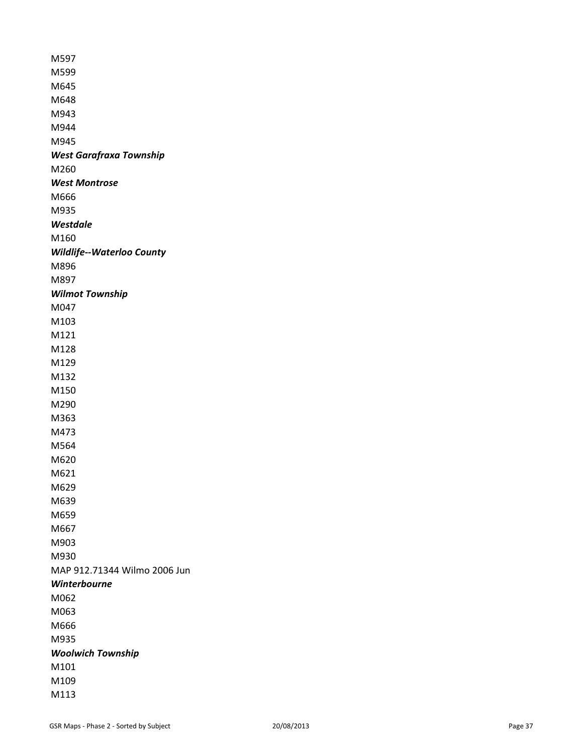M597 M599 M645 M648 M943 M944 M945 *West Garafraxa Township* M260 *West Montrose* M666 M935 *Westdale* M160 *Wildlife--Waterloo County* M896 M897 *Wilmot Township* M047 M103 M121 M128 M129 M132 M150 M290 M363 M473 M564 M620 M621 M629 M639 M659 M667 M903 M930 MAP 912.71344 Wilmo 2006 Jun *Winterbourne* M062 M063 M666 M935 *Woolwich Township* M101 M109 M113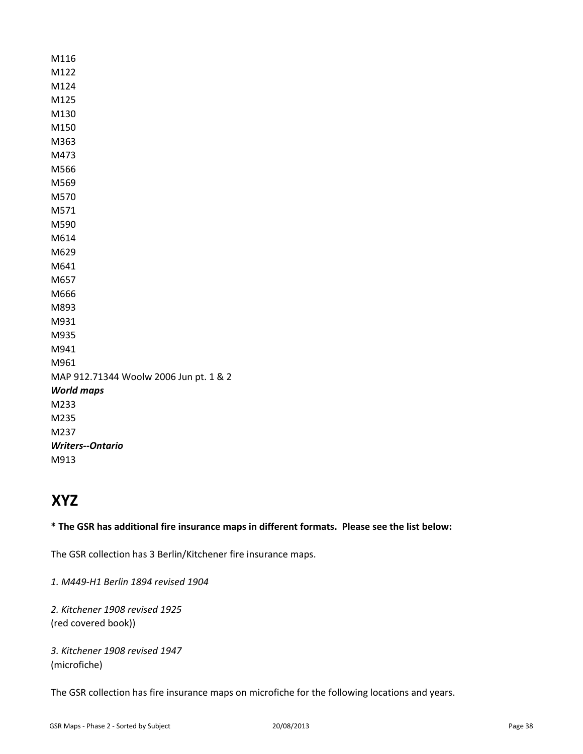M116 M122 M124 M125 M130 M150 M363 M473 M566 M569 M570 M571 M590 M614 M629 M641 M657 M666 M893 M931 M935 M941 M961 MAP 912.71344 Woolw 2006 Jun pt. 1 & 2 *World maps* M233 M235 M237 *Writers--Ontario* M913

# **XYZ**

**\* The GSR has additional fire insurance maps in different formats. Please see the list below:** 

The GSR collection has 3 Berlin/Kitchener fire insurance maps.

*1. M449-H1 Berlin 1894 revised 1904*

*2. Kitchener 1908 revised 1925* (red covered book))

*3. Kitchener 1908 revised 1947* (microfiche)

The GSR collection has fire insurance maps on microfiche for the following locations and years.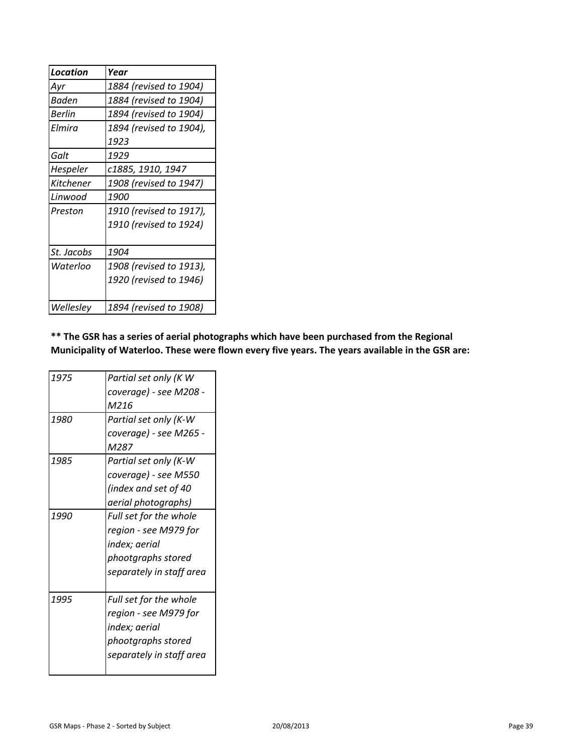| <b>Location</b> | Year                    |
|-----------------|-------------------------|
| Ayr             | 1884 (revised to 1904)  |
| Baden           | 1884 (revised to 1904)  |
| <b>Berlin</b>   | 1894 (revised to 1904)  |
| Flmira          | 1894 (revised to 1904), |
|                 | 1923                    |
| Galt            | 1929                    |
| Hespeler        | c1885, 1910, 1947       |
| Kitchener       | 1908 (revised to 1947)  |
| Linwood         | 1900                    |
| Preston         | 1910 (revised to 1917), |
|                 | 1910 (revised to 1924)  |
|                 |                         |
| St. Jacobs      | 1904                    |
| Waterloo        | 1908 (revised to 1913), |
|                 | 1920 (revised to 1946)  |
|                 |                         |
| Wellesley       | 1894 (revised to 1908)  |

**\*\* The GSR has a series of aerial photographs which have been purchased from the Regional Municipality of Waterloo. These were flown every five years. The years available in the GSR are:**

| 1975 | Partial set only (K W    |
|------|--------------------------|
|      | coverage) - see M208 -   |
|      | M216                     |
| 1980 | Partial set only (K-W    |
|      | coverage) - see M265 -   |
|      | M287                     |
| 1985 | Partial set only (K-W    |
|      | coverage) - see M550     |
|      | (index and set of 40     |
|      | aerial photographs)      |
| 1990 | Full set for the whole   |
|      | region - see M979 for    |
|      | index; aerial            |
|      | phootgraphs stored       |
|      | separately in staff area |
|      |                          |
| 1995 | Full set for the whole   |
|      | region - see M979 for    |
|      | index; aerial            |
|      | phootgraphs stored       |
|      | separately in staff area |
|      |                          |